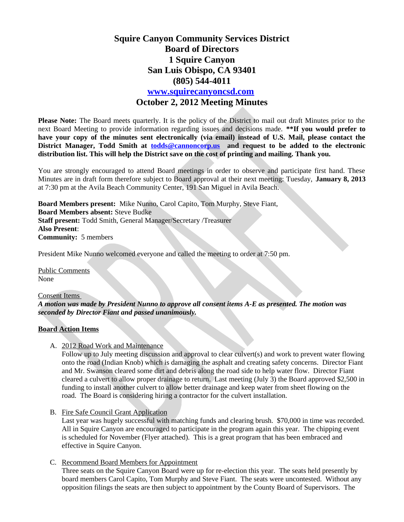# **Squire Canyon Community Services District Board of Directors 1 Squire Canyon San Luis Obispo, CA 93401 (805) 544-4011 [www.squirecanyoncsd.com](http://www.squirecanyoncsd.com/) October 2, 2012 Meeting Minutes**

**Please Note:** The Board meets quarterly. It is the policy of the District to mail out draft Minutes prior to the next Board Meeting to provide information regarding issues and decisions made. **\*\*If you would prefer to have your copy of the minutes sent electronically (via email) instead of U.S. Mail, please contact the District Manager, Todd Smith at [todds@cannoncorp.us](mailto:todds@cannoncorp.us) and request to be added to the electronic distribution list. This will help the District save on the cost of printing and mailing. Thank you.** 

You are strongly encouraged to attend Board meetings in order to observe and participate first hand. These Minutes are in draft form therefore subject to Board approval at their next meeting: Tuesday, **January 8, 2013** at 7:30 pm at the Avila Beach Community Center, 191 San Miguel in Avila Beach.

**Board Members present:** Mike Nunno, Carol Capito, Tom Murphy, Steve Fiant, **Board Members absent:** Steve Budke **Staff present:** Todd Smith, General Manager/Secretary /Treasurer **Also Present**: **Community:** 5 members

President Mike Nunno welcomed everyone and called the meeting to order at 7:50 pm.

Public Comments None

Consent Items *A motion was made by President Nunno to approve all consent items A-E as presented. The motion was seconded by Director Fiant and passed unanimously.*

## **Board Action Items**

A. 2012 Road Work and Maintenance

Follow up to July meeting discussion and approval to clear culvert(s) and work to prevent water flowing onto the road (Indian Knob) which is damaging the asphalt and creating safety concerns. Director Fiant and Mr. Swanson cleared some dirt and debris along the road side to help water flow. Director Fiant cleared a culvert to allow proper drainage to return. Last meeting (July 3) the Board approved \$2,500 in funding to install another culvert to allow better drainage and keep water from sheet flowing on the road. The Board is considering hiring a contractor for the culvert installation.

B. Fire Safe Council Grant Application

Last year was hugely successful with matching funds and clearing brush. \$70,000 in time was recorded. All in Squire Canyon are encouraged to participate in the program again this year. The chipping event is scheduled for November (Flyer attached). This is a great program that has been embraced and effective in Squire Canyon.

## C. Recommend Board Members for Appointment

Three seats on the Squire Canyon Board were up for re-election this year. The seats held presently by board members Carol Capito, Tom Murphy and Steve Fiant. The seats were uncontested. Without any opposition filings the seats are then subject to appointment by the County Board of Supervisors. The